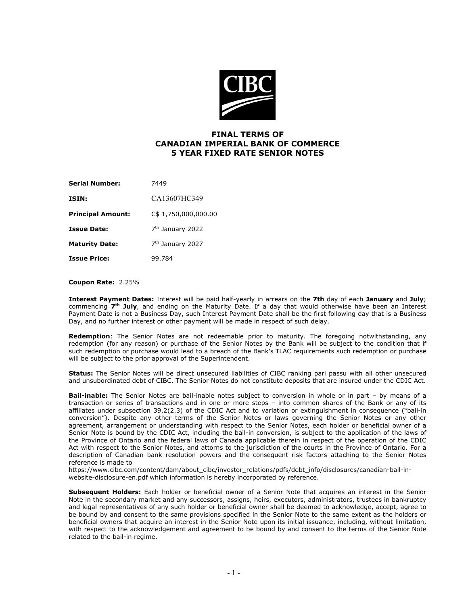

## **FINAL TERMS OF CANADIAN IMPERIAL BANK OF COMMERCE 5 YEAR FIXED RATE SENIOR NOTES**

| Serial Number:           | 7449                         |
|--------------------------|------------------------------|
| ISIN:                    | CA13607HC349                 |
| <b>Principal Amount:</b> | C\$ 1,750,000,000.00         |
| Issue Date:              | 7 <sup>th</sup> January 2022 |
| Maturity Date:           | 7 <sup>th</sup> January 2027 |
| Issue Price:             | 99.784                       |

## **Coupon Rate:**2.25%

**Interest Payment Dates:** Interest will be paid half-yearly in arrears on the **7th** day of each **January** and **July**; commencing **7th July**, and ending on the Maturity Date. If a day that would otherwise have been an Interest Payment Date is not a Business Day, such Interest Payment Date shall be the first following day that is a Business Day, and no further interest or other payment will be made in respect of such delay.

**Redemption**: The Senior Notes are not redeemable prior to maturity. The foregoing notwithstanding, any redemption (for any reason) or purchase of the Senior Notes by the Bank will be subject to the condition that if such redemption or purchase would lead to a breach of the Bank's TLAC requirements such redemption or purchase will be subject to the prior approval of the Superintendent.

**Status:** The Senior Notes will be direct unsecured liabilities of CIBC ranking pari passu with all other unsecured and unsubordinated debt of CIBC. The Senior Notes do not constitute deposits that are insured under the CDIC Act.

**Bail-inable:** The Senior Notes are bail-inable notes subject to conversion in whole or in part – by means of a transaction or series of transactions and in one or more steps – into common shares of the Bank or any of its affiliates under subsection 39.2(2.3) of the CDIC Act and to variation or extinguishment in consequence ("bail-in conversion"). Despite any other terms of the Senior Notes or laws governing the Senior Notes or any other agreement, arrangement or understanding with respect to the Senior Notes, each holder or beneficial owner of a Senior Note is bound by the CDIC Act, including the bail-in conversion, is subject to the application of the laws of the Province of Ontario and the federal laws of Canada applicable therein in respect of the operation of the CDIC Act with respect to the Senior Notes, and attorns to the jurisdiction of the courts in the Province of Ontario. For a description of Canadian bank resolution powers and the consequent risk factors attaching to the Senior Notes reference is made to

https://www.cibc.com/content/dam/about\_cibc/investor\_relations/pdfs/debt\_info/disclosures/canadian-bail-inwebsite-disclosure-en.pdf which information is hereby incorporated by reference.

**Subsequent Holders:** Each holder or beneficial owner of a Senior Note that acquires an interest in the Senior Note in the secondary market and any successors, assigns, heirs, executors, administrators, trustees in bankruptcy and legal representatives of any such holder or beneficial owner shall be deemed to acknowledge, accept, agree to be bound by and consent to the same provisions specified in the Senior Note to the same extent as the holders or beneficial owners that acquire an interest in the Senior Note upon its initial issuance, including, without limitation, with respect to the acknowledgement and agreement to be bound by and consent to the terms of the Senior Note related to the bail-in regime.